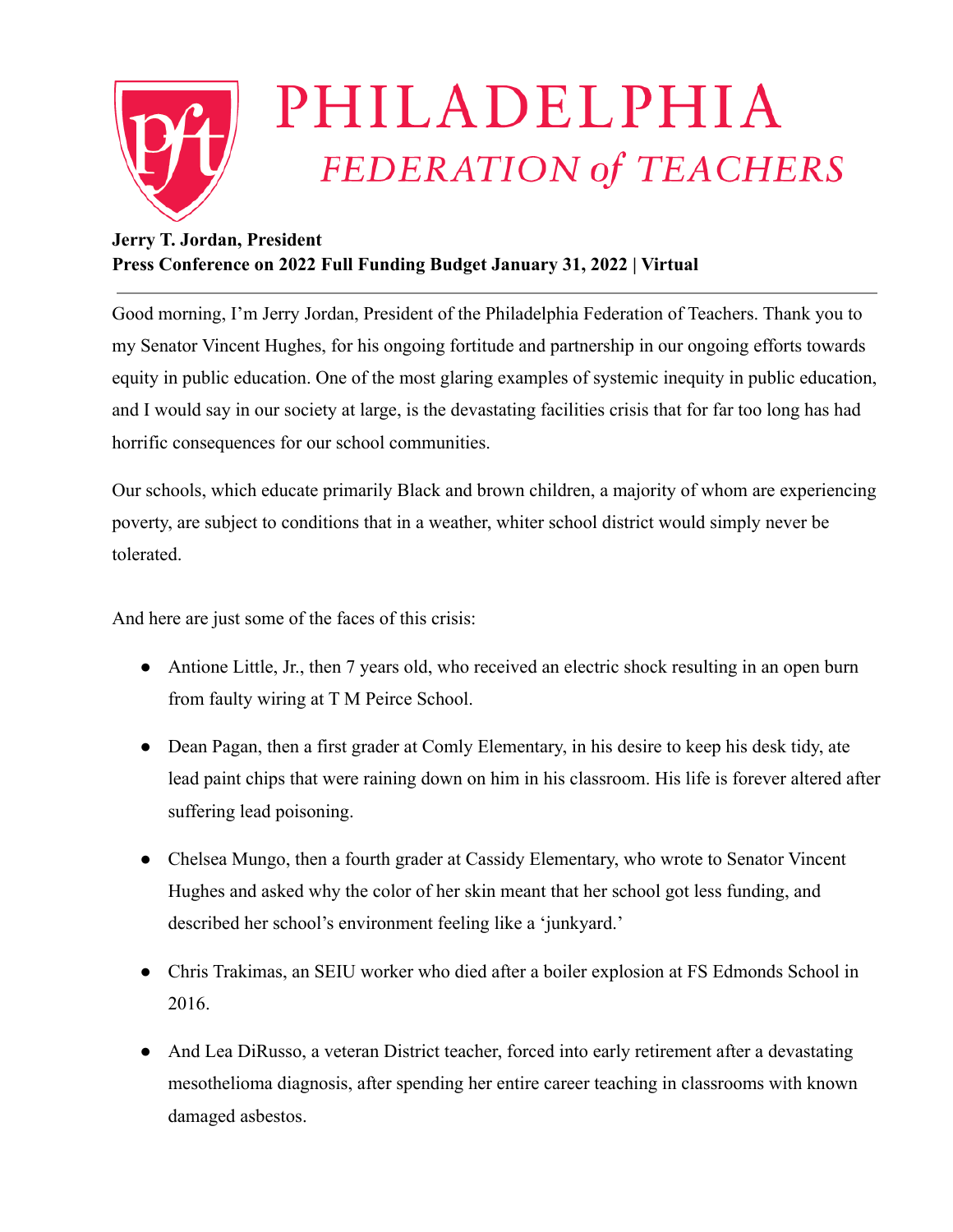

## **Jerry T. Jordan, President Press Conference on 2022 Full Funding Budget January 31, 2022 | Virtual**

Good morning, I'm Jerry Jordan, President of the Philadelphia Federation of Teachers. Thank you to my Senator Vincent Hughes, for his ongoing fortitude and partnership in our ongoing efforts towards equity in public education. One of the most glaring examples of systemic inequity in public education, and I would say in our society at large, is the devastating facilities crisis that for far too long has had horrific consequences for our school communities.

Our schools, which educate primarily Black and brown children, a majority of whom are experiencing poverty, are subject to conditions that in a weather, whiter school district would simply never be tolerated.

And here are just some of the faces of this crisis:

- Antione Little, Jr., then 7 years old, who received an electric shock resulting in an open burn from faulty wiring at T M Peirce School.
- Dean Pagan, then a first grader at Comly Elementary, in his desire to keep his desk tidy, ate lead paint chips that were raining down on him in his classroom. His life is forever altered after suffering lead poisoning.
- Chelsea Mungo, then a fourth grader at Cassidy Elementary, who wrote to Senator Vincent Hughes and asked why the color of her skin meant that her school got less funding, and described her school's environment feeling like a 'junkyard.'
- Chris Trakimas, an SEIU worker who died after a boiler explosion at FS Edmonds School in 2016.
- And Lea DiRusso, a veteran District teacher, forced into early retirement after a devastating mesothelioma diagnosis, after spending her entire career teaching in classrooms with known damaged asbestos.